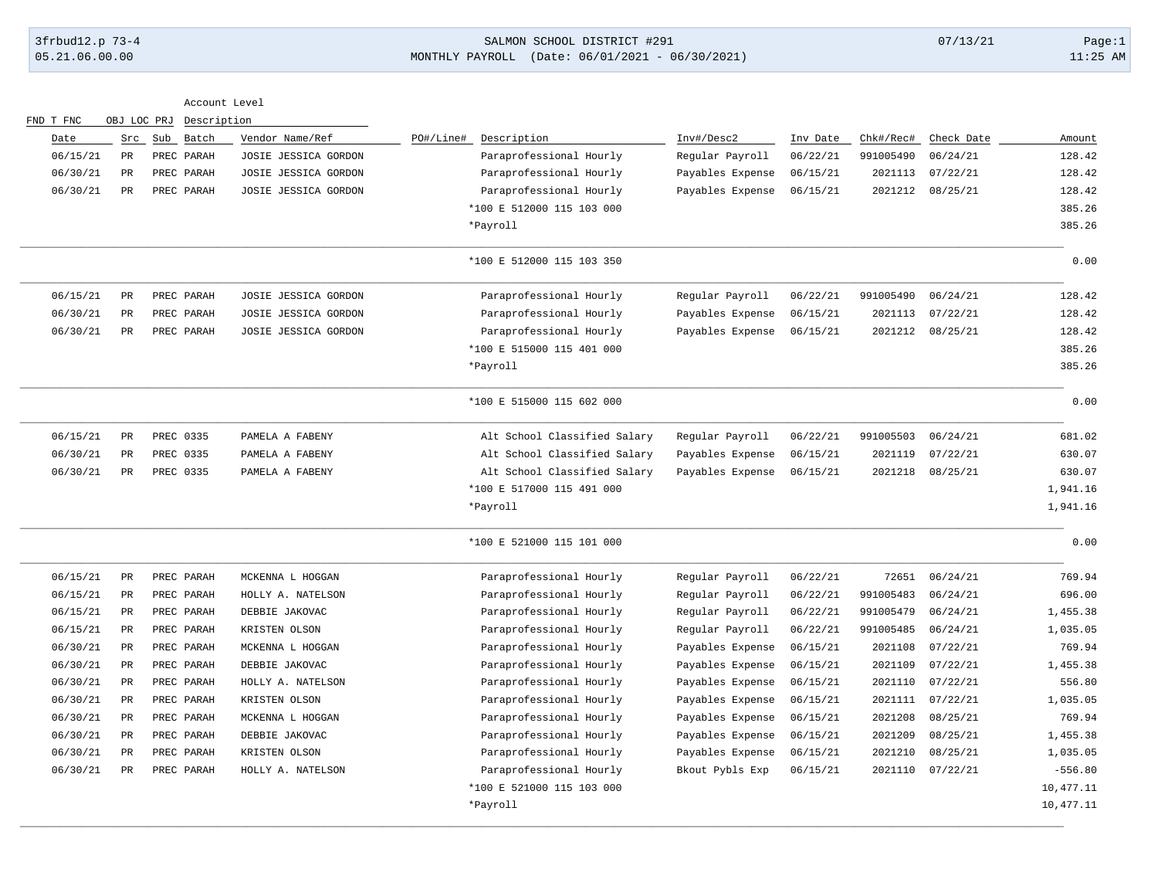## 3frbud12.p 73-4 SALMON SCHOOL DISTRICT #291 07/13/21 Page:1 05.21.06.00.00 MONTHLY PAYROLL (Date: 06/01/2021 - 06/30/2021) 11:25 AM

|            |                  |           |          |                  |                              |                      | Description | OBJ LOC PRJ |                 | FND T FNC |
|------------|------------------|-----------|----------|------------------|------------------------------|----------------------|-------------|-------------|-----------------|-----------|
| Amount     | Check Date       | Chk#/Rec# | Inv Date | Inv#/Desc2       | PO#/Line#<br>Description     | Vendor Name/Ref      | Batch       | Src Sub     |                 | Date      |
| 128.42     | 06/24/21         | 991005490 | 06/22/21 | Regular Payroll  | Paraprofessional Hourly      | JOSIE JESSICA GORDON | PREC PARAH  |             | PR              | 06/15/21  |
| 128.42     | 07/22/21         | 2021113   | 06/15/21 | Payables Expense | Paraprofessional Hourly      | JOSIE JESSICA GORDON | PREC PARAH  |             | $_{\rm PR}$     | 06/30/21  |
| 128.42     | 08/25/21         | 2021212   | 06/15/21 | Payables Expense | Paraprofessional Hourly      | JOSIE JESSICA GORDON | PREC PARAH  |             | $_{\rm PR}$     | 06/30/21  |
| 385.26     |                  |           |          |                  | *100 E 512000 115 103 000    |                      |             |             |                 |           |
| 385.26     |                  |           |          |                  | *Payroll                     |                      |             |             |                 |           |
| 0.00       |                  |           |          |                  | *100 E 512000 115 103 350    |                      |             |             |                 |           |
| 128.42     | 06/24/21         | 991005490 | 06/22/21 | Regular Payroll  | Paraprofessional Hourly      | JOSIE JESSICA GORDON | PREC PARAH  |             | $_{\rm PR}$     | 06/15/21  |
| 128.42     | 07/22/21         | 2021113   | 06/15/21 | Payables Expense | Paraprofessional Hourly      | JOSIE JESSICA GORDON | PREC PARAH  |             | $_{\rm PR}$     | 06/30/21  |
| 128.42     | 08/25/21         | 2021212   | 06/15/21 | Payables Expense | Paraprofessional Hourly      | JOSIE JESSICA GORDON | PREC PARAH  |             | PR              | 06/30/21  |
| 385.26     |                  |           |          |                  | *100 E 515000 115 401 000    |                      |             |             |                 |           |
| 385.26     |                  |           |          |                  | *Payroll                     |                      |             |             |                 |           |
| 0.00       |                  |           |          |                  | *100 E 515000 115 602 000    |                      |             |             |                 |           |
| 681.02     | 06/24/21         | 991005503 | 06/22/21 | Regular Payroll  | Alt School Classified Salary | PAMELA A FABENY      | PREC 0335   |             | $_{\rm PR}$     | 06/15/21  |
| 630.07     | 07/22/21         | 2021119   | 06/15/21 | Payables Expense | Alt School Classified Salary | PAMELA A FABENY      | PREC 0335   |             | $_{\rm PR}$     | 06/30/21  |
| 630.07     | 08/25/21         | 2021218   | 06/15/21 | Payables Expense | Alt School Classified Salary | PAMELA A FABENY      | PREC 0335   |             | PR              | 06/30/21  |
| 1,941.16   |                  |           |          |                  | *100 E 517000 115 491 000    |                      |             |             |                 |           |
| 1,941.16   |                  |           |          |                  | *Payroll                     |                      |             |             |                 |           |
| 0.00       |                  |           |          |                  | *100 E 521000 115 101 000    |                      |             |             |                 |           |
| 769.94     | 06/24/21         | 72651     | 06/22/21 | Regular Payroll  | Paraprofessional Hourly      | MCKENNA L HOGGAN     | PREC PARAH  |             | $_{\rm PR}$     | 06/15/21  |
| 696.00     | 06/24/21         | 991005483 | 06/22/21 | Regular Payroll  | Paraprofessional Hourly      | HOLLY A. NATELSON    | PREC PARAH  |             | $_{\rm PR}$     | 06/15/21  |
| 1,455.38   | 06/24/21         | 991005479 | 06/22/21 | Regular Payroll  | Paraprofessional Hourly      | DEBBIE JAKOVAC       | PREC PARAH  |             | $_{\rm PR}$     | 06/15/21  |
| 1,035.05   | 06/24/21         | 991005485 | 06/22/21 | Regular Payroll  | Paraprofessional Hourly      | KRISTEN OLSON        | PREC PARAH  |             | $_{\rm PR}$     | 06/15/21  |
| 769.94     | 07/22/21         | 2021108   | 06/15/21 | Payables Expense | Paraprofessional Hourly      | MCKENNA L HOGGAN     | PREC PARAH  |             | $\mbox{\sf PR}$ | 06/30/21  |
| 1,455.38   | 07/22/21         | 2021109   | 06/15/21 | Payables Expense | Paraprofessional Hourly      | DEBBIE JAKOVAC       | PREC PARAH  |             | $_{\rm PR}$     | 06/30/21  |
| 556.80     | 07/22/21         | 2021110   | 06/15/21 | Payables Expense | Paraprofessional Hourly      | HOLLY A. NATELSON    | PREC PARAH  |             | PR              | 06/30/21  |
| 1,035.05   | 2021111 07/22/21 |           | 06/15/21 | Payables Expense | Paraprofessional Hourly      | KRISTEN OLSON        | PREC PARAH  |             | $_{\rm PR}$     | 06/30/21  |
| 769.94     | 08/25/21         | 2021208   | 06/15/21 | Payables Expense | Paraprofessional Hourly      | MCKENNA L HOGGAN     | PREC PARAH  |             | $_{\rm PR}$     | 06/30/21  |
| 1,455.38   | 08/25/21         | 2021209   | 06/15/21 | Payables Expense | Paraprofessional Hourly      | DEBBIE JAKOVAC       | PREC PARAH  |             | $_{\rm PR}$     | 06/30/21  |
| 1,035.05   | 08/25/21         | 2021210   | 06/15/21 | Payables Expense | Paraprofessional Hourly      | KRISTEN OLSON        | PREC PARAH  |             | $_{\rm PR}$     | 06/30/21  |
| $-556.80$  | 07/22/21         | 2021110   | 06/15/21 | Bkout Pybls Exp  | Paraprofessional Hourly      | HOLLY A. NATELSON    | PREC PARAH  |             | PR              | 06/30/21  |
| 10,477.11  |                  |           |          |                  | *100 E 521000 115 103 000    |                      |             |             |                 |           |
| 10, 477.11 |                  |           |          |                  | *Payroll                     |                      |             |             |                 |           |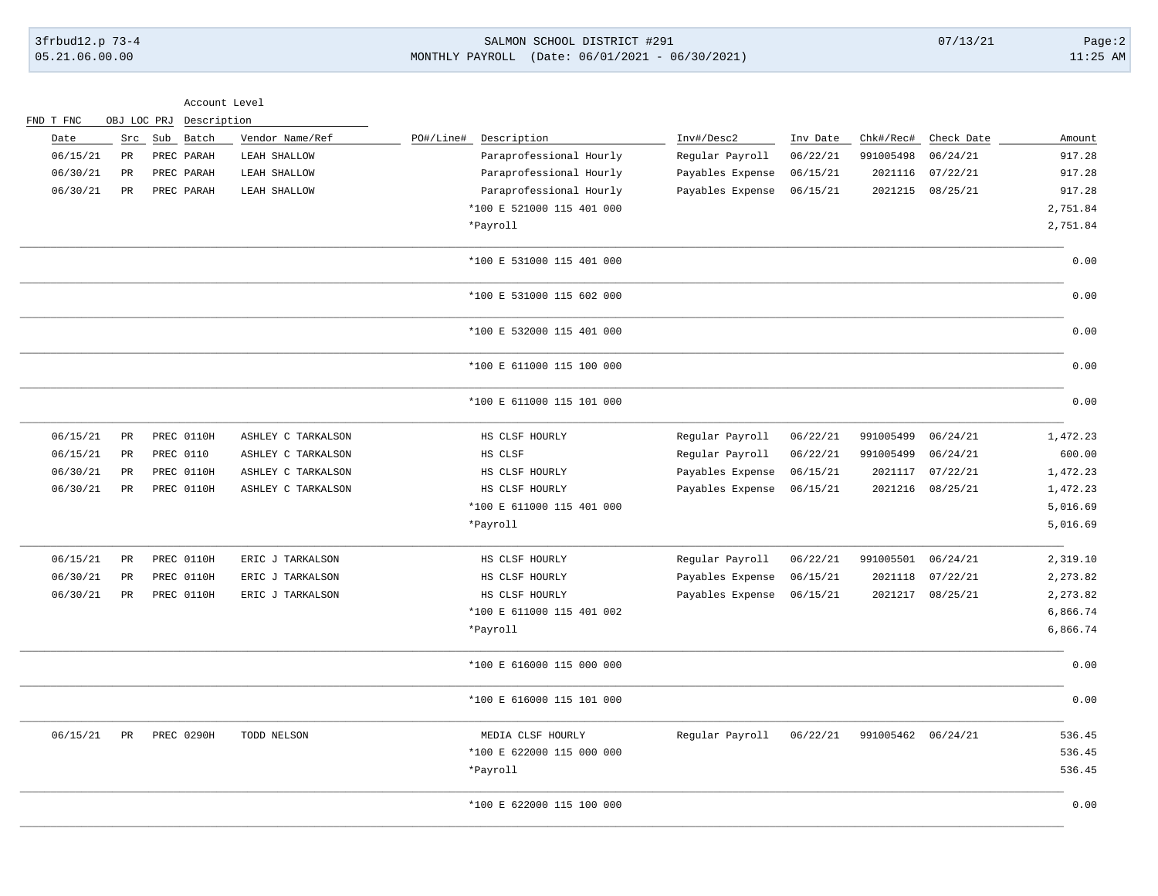|           |             | Account Level           |                    |                           |                  |          |                    |                  |          |
|-----------|-------------|-------------------------|--------------------|---------------------------|------------------|----------|--------------------|------------------|----------|
| FND T FNC |             | OBJ LOC PRJ Description |                    |                           |                  |          |                    |                  |          |
| Date      |             | Src Sub Batch           | Vendor Name/Ref    | Description<br>PO#/Line#  | Inv#/Desc2       | Inv Date | Chk#/Rec#          | Check Date       | Amount   |
| 06/15/21  | $_{\rm PR}$ | PREC PARAH              | LEAH SHALLOW       | Paraprofessional Hourly   | Regular Payroll  | 06/22/21 | 991005498          | 06/24/21         | 917.28   |
| 06/30/21  | PR          | PREC PARAH              | LEAH SHALLOW       | Paraprofessional Hourly   | Payables Expense | 06/15/21 | 2021116            | 07/22/21         | 917.28   |
| 06/30/21  | PR          | PREC PARAH              | LEAH SHALLOW       | Paraprofessional Hourly   | Payables Expense | 06/15/21 | 2021215            | 08/25/21         | 917.28   |
|           |             |                         |                    | *100 E 521000 115 401 000 |                  |          |                    |                  | 2,751.84 |
|           |             |                         |                    | *Payroll                  |                  |          |                    |                  | 2,751.84 |
|           |             |                         |                    | *100 E 531000 115 401 000 |                  |          |                    |                  | 0.00     |
|           |             |                         |                    | *100 E 531000 115 602 000 |                  |          |                    |                  | 0.00     |
|           |             |                         |                    | *100 E 532000 115 401 000 |                  |          |                    |                  | 0.00     |
|           |             |                         |                    | *100 E 611000 115 100 000 |                  |          |                    |                  | 0.00     |
|           |             |                         |                    | *100 E 611000 115 101 000 |                  |          |                    |                  | 0.00     |
| 06/15/21  | PR          | PREC 0110H              | ASHLEY C TARKALSON | HS CLSF HOURLY            | Regular Payroll  | 06/22/21 | 991005499          | 06/24/21         | 1,472.23 |
| 06/15/21  | $_{\rm PR}$ | PREC 0110               | ASHLEY C TARKALSON | HS CLSF                   | Regular Payroll  | 06/22/21 | 991005499          | 06/24/21         | 600.00   |
| 06/30/21  | $_{\rm PR}$ | PREC 0110H              | ASHLEY C TARKALSON | HS CLSF HOURLY            | Payables Expense | 06/15/21 | 2021117            | 07/22/21         | 1,472.23 |
| 06/30/21  | PR          | PREC 0110H              | ASHLEY C TARKALSON | HS CLSF HOURLY            | Payables Expense | 06/15/21 | 2021216            | 08/25/21         | 1,472.23 |
|           |             |                         |                    | *100 E 611000 115 401 000 |                  |          |                    |                  | 5,016.69 |
|           |             |                         |                    | *Payroll                  |                  |          |                    |                  | 5,016.69 |
| 06/15/21  | $_{\rm PR}$ | PREC 0110H              | ERIC J TARKALSON   | HS CLSF HOURLY            | Regular Payroll  | 06/22/21 | 991005501          | 06/24/21         | 2,319.10 |
| 06/30/21  | PR          | PREC 0110H              | ERIC J TARKALSON   | HS CLSF HOURLY            | Payables Expense | 06/15/21 | 2021118            | 07/22/21         | 2,273.82 |
| 06/30/21  | PR          | PREC 0110H              | ERIC J TARKALSON   | HS CLSF HOURLY            | Payables Expense | 06/15/21 |                    | 2021217 08/25/21 | 2,273.82 |
|           |             |                         |                    | *100 E 611000 115 401 002 |                  |          |                    |                  | 6,866.74 |
|           |             |                         |                    | *Payroll                  |                  |          |                    |                  | 6,866.74 |
|           |             |                         |                    | *100 E 616000 115 000 000 |                  |          |                    |                  | 0.00     |
|           |             |                         |                    | *100 E 616000 115 101 000 |                  |          |                    |                  | 0.00     |
| 06/15/21  | PR          | PREC 0290H              | TODD NELSON        | MEDIA CLSF HOURLY         | Regular Payroll  | 06/22/21 | 991005462 06/24/21 |                  | 536.45   |
|           |             |                         |                    | *100 E 622000 115 000 000 |                  |          |                    |                  | 536.45   |
|           |             |                         |                    | *Payroll                  |                  |          |                    |                  | 536.45   |

\_\_\_\_\_\_\_\_\_\_\_\_\_\_\_\_\_\_\_\_\_\_\_\_\_\_\_\_\_\_\_\_\_\_\_\_\_\_\_\_\_\_\_\_\_\_\_\_\_\_\_\_\_\_\_\_\_\_\_\_\_\_\_\_\_\_\_\_\_\_\_\_\_\_\_\_\_\_\_\_\_\_\_\_\_\_\_\_\_\_\_\_\_\_\_\_\_\_\_\_\_\_\_\_\_\_\_\_\_\_\_\_\_\_\_\_\_\_\_\_\_\_\_\_\_\_\_\_\_\_\_\_\_\_\_\_\_\_\_\_\_\_\_\_\_\_\_\_\_\_\_\_\_\_\_\_\_\_\_\_\_\_\_\_\_\_\_\_\_\_ \*100 E 622000 115 100 000 0.00 \_\_\_\_\_\_\_\_\_\_\_\_\_\_\_\_\_\_\_\_\_\_\_\_\_\_\_\_\_\_\_\_\_\_\_\_\_\_\_\_\_\_\_\_\_\_\_\_\_\_\_\_\_\_\_\_\_\_\_\_\_\_\_\_\_\_\_\_\_\_\_\_\_\_\_\_\_\_\_\_\_\_\_\_\_\_\_\_\_\_\_\_\_\_\_\_\_\_\_\_\_\_\_\_\_\_\_\_\_\_\_\_\_\_\_\_\_\_\_\_\_\_\_\_\_\_\_\_\_\_\_\_\_\_\_\_\_\_\_\_\_\_\_\_\_\_\_\_\_\_\_\_\_\_\_\_\_\_\_\_\_\_\_\_\_\_\_\_\_\_

05.21.06.00.00 MONTHLY PAYROLL (Date: 06/01/2021 - 06/30/2021) 11:25 AM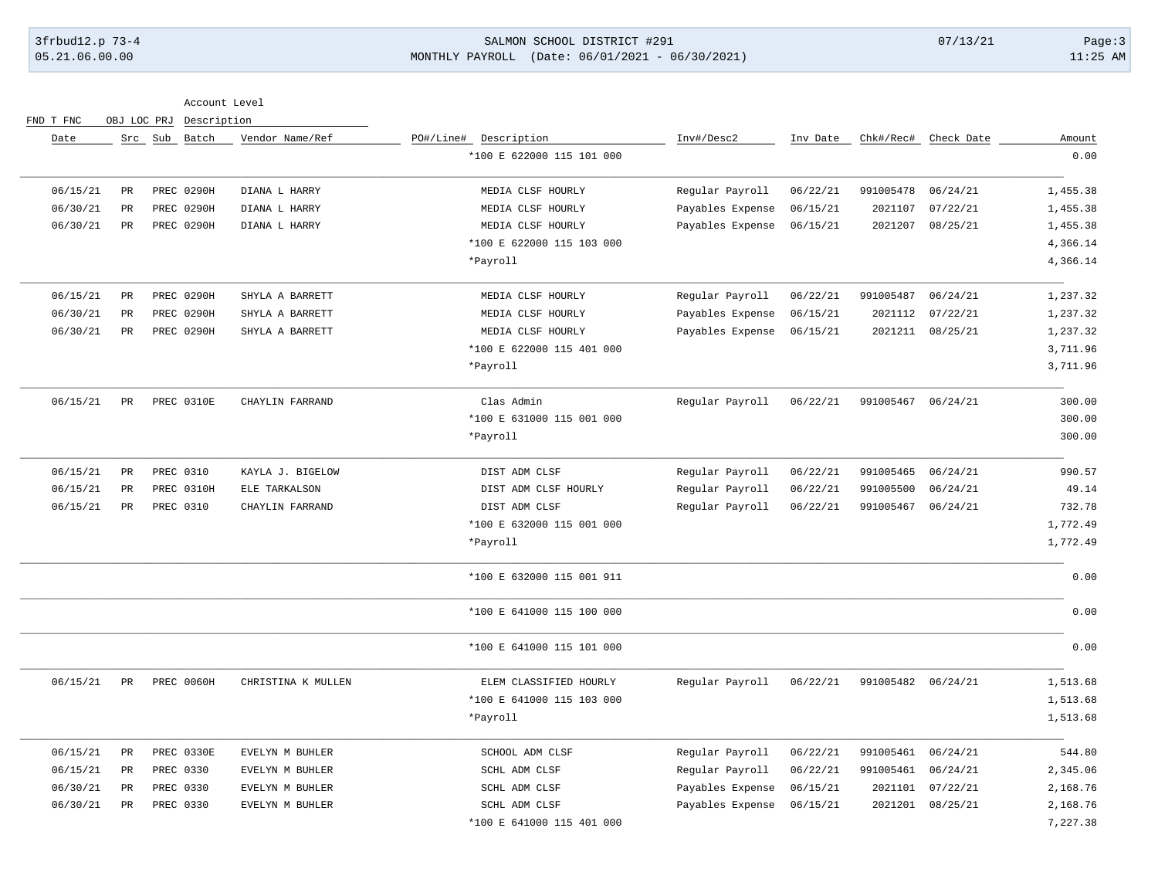## 3frbud12.p 73-4 SALMON SCHOOL DISTRICT #291 07/13/21 Page:3 05.21.06.00.00 MONTHLY PAYROLL (Date: 06/01/2021 - 06/30/2021) 11:25 AM

Account Level

|  | FND T FNC |  | OBJ LOC PRJ Description |
|--|-----------|--|-------------------------|
|  |           |  |                         |

| Amount<br>0.00 | Chk#/Rec# Check Date |           | Inv Date | Inv#/Desc2       | PO#/Line# Description<br>*100 E 622000 115 101 000 | Vendor Name/Ref    | Src Sub Batch |             | Date     |
|----------------|----------------------|-----------|----------|------------------|----------------------------------------------------|--------------------|---------------|-------------|----------|
|                |                      |           |          |                  |                                                    |                    |               |             |          |
| 1,455.38       | 06/24/21             | 991005478 | 06/22/21 | Regular Payroll  | MEDIA CLSF HOURLY                                  | DIANA L HARRY      | PREC 0290H    | PR          | 06/15/21 |
| 1,455.38       | 07/22/21             | 2021107   | 06/15/21 | Payables Expense | MEDIA CLSF HOURLY                                  | DIANA L HARRY      | PREC 0290H    | PR          | 06/30/21 |
| 1,455.38       | 08/25/21             | 2021207   | 06/15/21 | Payables Expense | MEDIA CLSF HOURLY                                  | DIANA L HARRY      | PREC 0290H    | PR          | 06/30/21 |
| 4,366.14       |                      |           |          |                  | *100 E 622000 115 103 000                          |                    |               |             |          |
| 4,366.14       |                      |           |          |                  | *Payroll                                           |                    |               |             |          |
| 1,237.32       | 06/24/21             | 991005487 | 06/22/21 | Regular Payroll  | MEDIA CLSF HOURLY                                  | SHYLA A BARRETT    | PREC 0290H    | PR          | 06/15/21 |
| 1,237.32       | 07/22/21             | 2021112   | 06/15/21 | Payables Expense | MEDIA CLSF HOURLY                                  | SHYLA A BARRETT    | PREC 0290H    | PR          | 06/30/21 |
| 1,237.32       | 08/25/21             | 2021211   | 06/15/21 | Payables Expense | MEDIA CLSF HOURLY                                  | SHYLA A BARRETT    | PREC 0290H    | PR          | 06/30/21 |
| 3,711.96       |                      |           |          |                  | *100 E 622000 115 401 000                          |                    |               |             |          |
| 3,711.96       |                      |           |          |                  | *Payroll                                           |                    |               |             |          |
| 300.00         | 06/24/21             | 991005467 | 06/22/21 | Regular Payroll  | Clas Admin                                         | CHAYLIN FARRAND    | PREC 0310E    | PR          | 06/15/21 |
| 300.00         |                      |           |          |                  | *100 E 631000 115 001 000                          |                    |               |             |          |
| 300.00         |                      |           |          |                  | *Payroll                                           |                    |               |             |          |
| 990.57         | 06/24/21             | 991005465 | 06/22/21 | Regular Payroll  | DIST ADM CLSF                                      | KAYLA J. BIGELOW   | PREC 0310     | PR          | 06/15/21 |
| 49.14          | 06/24/21             | 991005500 | 06/22/21 | Regular Payroll  | DIST ADM CLSF HOURLY                               | ELE TARKALSON      | PREC 0310H    | PR          | 06/15/21 |
| 732.78         | 06/24/21             | 991005467 | 06/22/21 | Regular Payroll  | DIST ADM CLSF                                      | CHAYLIN FARRAND    | PREC 0310     | PR          | 06/15/21 |
| 1,772.49       |                      |           |          |                  | *100 E 632000 115 001 000                          |                    |               |             |          |
| 1,772.49       |                      |           |          |                  | *Payroll                                           |                    |               |             |          |
| 0.00           |                      |           |          |                  | *100 E 632000 115 001 911                          |                    |               |             |          |
| 0.00           |                      |           |          |                  | *100 E 641000 115 100 000                          |                    |               |             |          |
| 0.00           |                      |           |          |                  | *100 E 641000 115 101 000                          |                    |               |             |          |
| 1,513.68       | 06/24/21             | 991005482 | 06/22/21 | Regular Payroll  | ELEM CLASSIFIED HOURLY                             | CHRISTINA K MULLEN | PREC 0060H    | $_{\rm PR}$ | 06/15/21 |
| 1,513.68       |                      |           |          |                  | *100 E 641000 115 103 000                          |                    |               |             |          |
| 1,513.68       |                      |           |          |                  | *Payroll                                           |                    |               |             |          |
| 544.80         | 06/24/21             | 991005461 | 06/22/21 | Regular Payroll  | SCHOOL ADM CLSF                                    | EVELYN M BUHLER    | PREC 0330E    | PR          | 06/15/21 |
| 2,345.06       | 06/24/21             | 991005461 | 06/22/21 | Regular Payroll  | SCHL ADM CLSF                                      | EVELYN M BUHLER    | PREC 0330     | PR          | 06/15/21 |
| 2,168.76       | 07/22/21             | 2021101   | 06/15/21 | Payables Expense | SCHL ADM CLSF                                      | EVELYN M BUHLER    | PREC 0330     | PR          | 06/30/21 |
| 2,168.76       | 08/25/21             | 2021201   | 06/15/21 | Payables Expense | SCHL ADM CLSF                                      | EVELYN M BUHLER    | PREC 0330     | <b>PR</b>   | 06/30/21 |
| 7,227.38       |                      |           |          |                  | *100 E 641000 115 401 000                          |                    |               |             |          |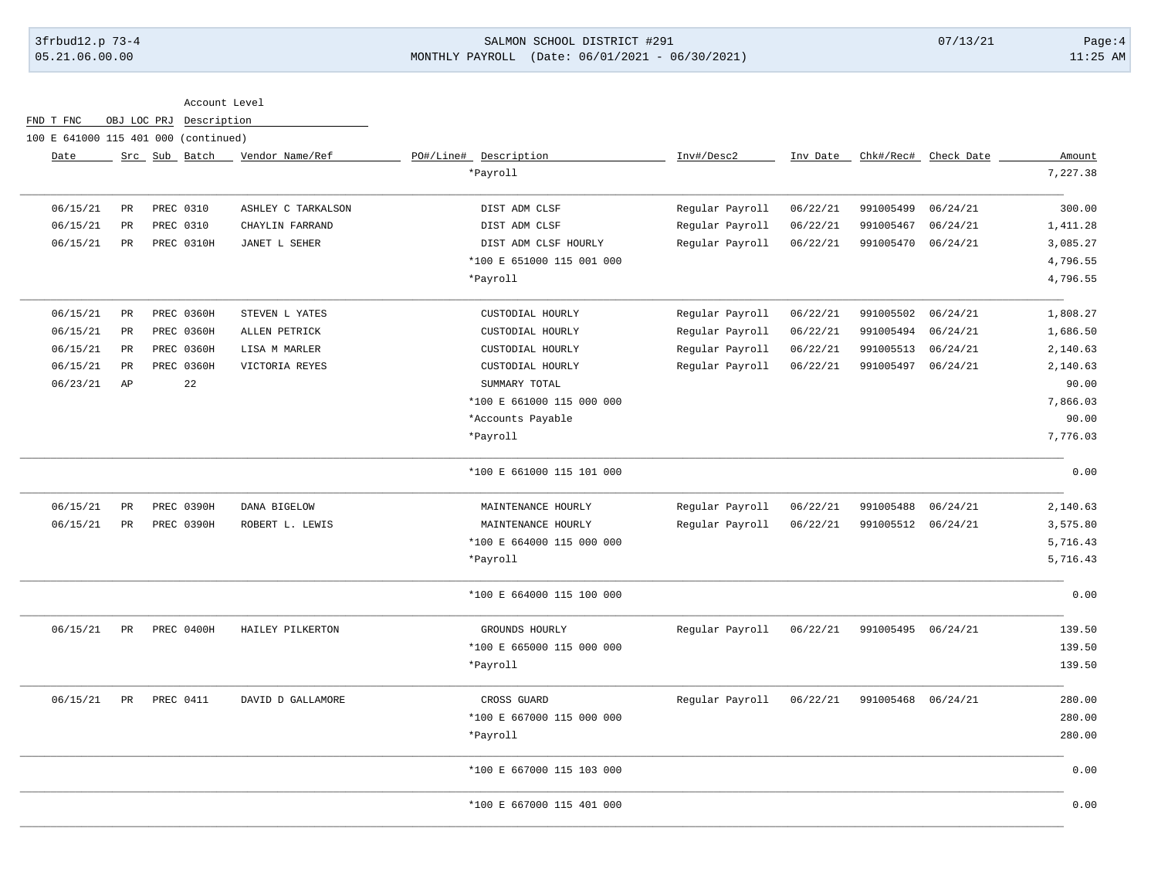## 3frbud12.p 73-4 SALMON SCHOOL DISTRICT #291 07/13/21 Page:4 05.21.06.00.00 MONTHLY PAYROLL (Date: 06/01/2021 - 06/30/2021) 11:25 AM

Account Level

FND T FNC OBJ LOC PRJ Description

100 E 641000 115 401 000 (continued)

| Date     |             | Src Sub Batch    | Vendor Name/Ref    | PO#/Line# Description     | Inv#/Desc2      | Inv Date | Chk#/Rec#          | Check Date | Amount   |
|----------|-------------|------------------|--------------------|---------------------------|-----------------|----------|--------------------|------------|----------|
|          |             |                  |                    | *Payroll                  |                 |          |                    |            | 7,227.38 |
| 06/15/21 | PR          | PREC 0310        | ASHLEY C TARKALSON | DIST ADM CLSF             | Regular Payroll | 06/22/21 | 991005499          | 06/24/21   | 300.00   |
| 06/15/21 | $_{\rm PR}$ | PREC 0310        | CHAYLIN FARRAND    | DIST ADM CLSF             | Regular Payroll | 06/22/21 | 991005467          | 06/24/21   | 1,411.28 |
| 06/15/21 | PR          | PREC 0310H       | JANET L SEHER      | DIST ADM CLSF HOURLY      | Regular Payroll | 06/22/21 | 991005470          | 06/24/21   | 3,085.27 |
|          |             |                  |                    | *100 E 651000 115 001 000 |                 |          |                    |            | 4,796.55 |
|          |             |                  |                    | *Payroll                  |                 |          |                    |            | 4,796.55 |
| 06/15/21 | PR          | PREC 0360H       | STEVEN L YATES     | CUSTODIAL HOURLY          | Regular Payroll | 06/22/21 | 991005502          | 06/24/21   | 1,808.27 |
| 06/15/21 | $_{\rm PR}$ | PREC 0360H       | ALLEN PETRICK      | CUSTODIAL HOURLY          | Regular Payroll | 06/22/21 | 991005494          | 06/24/21   | 1,686.50 |
| 06/15/21 | $_{\rm PR}$ | PREC 0360H       | LISA M MARLER      | CUSTODIAL HOURLY          | Regular Payroll | 06/22/21 | 991005513          | 06/24/21   | 2,140.63 |
| 06/15/21 | PR          | PREC 0360H       | VICTORIA REYES     | CUSTODIAL HOURLY          | Regular Payroll | 06/22/21 | 991005497          | 06/24/21   | 2,140.63 |
| 06/23/21 | AP          | 22               |                    | SUMMARY TOTAL             |                 |          |                    |            | 90.00    |
|          |             |                  |                    | *100 E 661000 115 000 000 |                 |          |                    |            | 7,866.03 |
|          |             |                  |                    | *Accounts Payable         |                 |          |                    |            | 90.00    |
|          |             |                  |                    | *Payroll                  |                 |          |                    |            | 7,776.03 |
|          |             |                  |                    | *100 E 661000 115 101 000 |                 |          |                    |            | 0.00     |
| 06/15/21 | PR          | PREC 0390H       | DANA BIGELOW       | MAINTENANCE HOURLY        | Regular Payroll | 06/22/21 | 991005488          | 06/24/21   | 2,140.63 |
| 06/15/21 | PR          | PREC 0390H       | ROBERT L. LEWIS    | MAINTENANCE HOURLY        | Regular Payroll | 06/22/21 | 991005512          | 06/24/21   | 3,575.80 |
|          |             |                  |                    | *100 E 664000 115 000 000 |                 |          |                    |            | 5,716.43 |
|          |             |                  |                    | *Payroll                  |                 |          |                    |            | 5,716.43 |
|          |             |                  |                    | *100 E 664000 115 100 000 |                 |          |                    |            | 0.00     |
| 06/15/21 | PR          | PREC 0400H       | HAILEY PILKERTON   | GROUNDS HOURLY            | Regular Payroll | 06/22/21 | 991005495 06/24/21 |            | 139.50   |
|          |             |                  |                    | *100 E 665000 115 000 000 |                 |          |                    |            | 139.50   |
|          |             |                  |                    | *Payroll                  |                 |          |                    |            | 139.50   |
| 06/15/21 | PR          | <b>PREC 0411</b> | DAVID D GALLAMORE  | CROSS GUARD               | Regular Payroll | 06/22/21 | 991005468          | 06/24/21   | 280.00   |
|          |             |                  |                    | *100 E 667000 115 000 000 |                 |          |                    |            | 280.00   |
|          |             |                  |                    | *Payroll                  |                 |          |                    |            | 280.00   |
|          |             |                  |                    | *100 E 667000 115 103 000 |                 |          |                    |            | 0.00     |
|          |             |                  |                    | *100 E 667000 115 401 000 |                 |          |                    |            | 0.00     |
|          |             |                  |                    |                           |                 |          |                    |            |          |